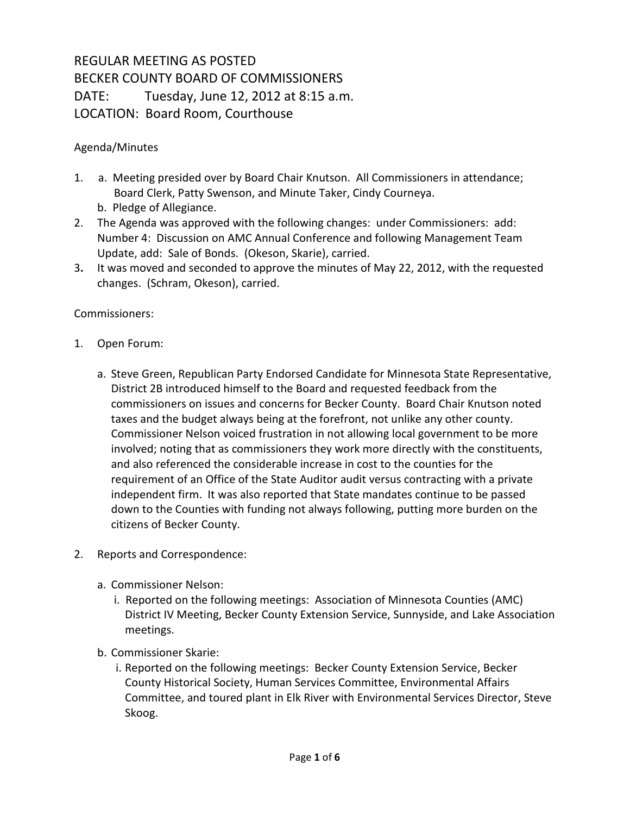## REGULAR MEETING AS POSTED BECKER COUNTY BOARD OF COMMISSIONERS DATE: Tuesday, June 12, 2012 at 8:15 a.m. LOCATION: Board Room, Courthouse

## Agenda/Minutes

- 1. a. Meeting presided over by Board Chair Knutson. All Commissioners in attendance; Board Clerk, Patty Swenson, and Minute Taker, Cindy Courneya.
	- b. Pledge of Allegiance.
- 2. The Agenda was approved with the following changes: under Commissioners: add: Number 4: Discussion on AMC Annual Conference and following Management Team Update, add: Sale of Bonds. (Okeson, Skarie), carried.
- 3**.** It was moved and seconded to approve the minutes of May 22, 2012, with the requested changes. (Schram, Okeson), carried.

## Commissioners:

- 1. Open Forum:
	- a. Steve Green, Republican Party Endorsed Candidate for Minnesota State Representative, District 2B introduced himself to the Board and requested feedback from the commissioners on issues and concerns for Becker County. Board Chair Knutson noted taxes and the budget always being at the forefront, not unlike any other county. Commissioner Nelson voiced frustration in not allowing local government to be more involved; noting that as commissioners they work more directly with the constituents, and also referenced the considerable increase in cost to the counties for the requirement of an Office of the State Auditor audit versus contracting with a private independent firm. It was also reported that State mandates continue to be passed down to the Counties with funding not always following, putting more burden on the citizens of Becker County.
- 2. Reports and Correspondence:
	- a. Commissioner Nelson:
		- i. Reported on the following meetings: Association of Minnesota Counties (AMC) District IV Meeting, Becker County Extension Service, Sunnyside, and Lake Association meetings.
	- b. Commissioner Skarie:
		- i. Reported on the following meetings: Becker County Extension Service, Becker County Historical Society, Human Services Committee, Environmental Affairs Committee, and toured plant in Elk River with Environmental Services Director, Steve Skoog.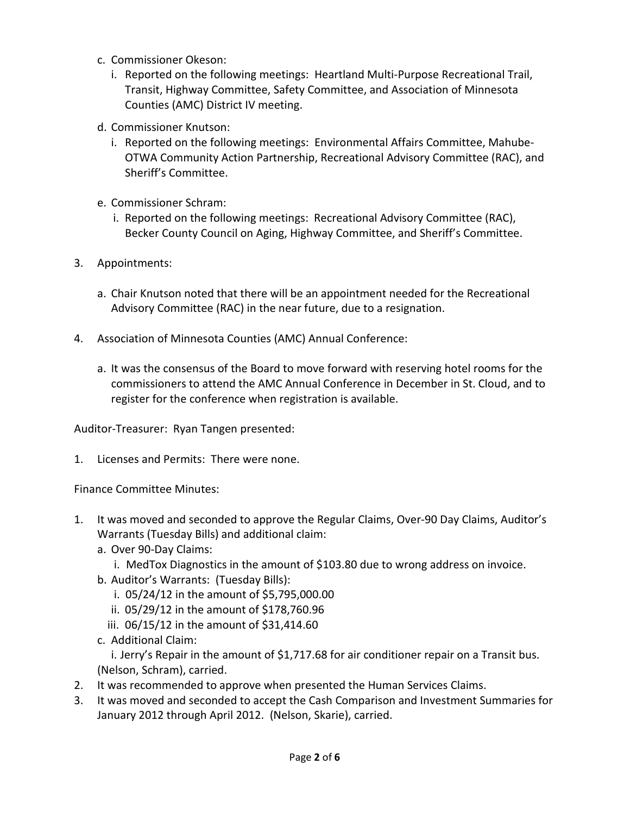- c. Commissioner Okeson:
	- i. Reported on the following meetings: Heartland Multi-Purpose Recreational Trail, Transit, Highway Committee, Safety Committee, and Association of Minnesota Counties (AMC) District IV meeting.
- d. Commissioner Knutson:
	- i. Reported on the following meetings: Environmental Affairs Committee, Mahube-OTWA Community Action Partnership, Recreational Advisory Committee (RAC), and Sheriff's Committee.
- e. Commissioner Schram:
	- i. Reported on the following meetings: Recreational Advisory Committee (RAC), Becker County Council on Aging, Highway Committee, and Sheriff's Committee.
- 3. Appointments:
	- a. Chair Knutson noted that there will be an appointment needed for the Recreational Advisory Committee (RAC) in the near future, due to a resignation.
- 4. Association of Minnesota Counties (AMC) Annual Conference:
	- a. It was the consensus of the Board to move forward with reserving hotel rooms for the commissioners to attend the AMC Annual Conference in December in St. Cloud, and to register for the conference when registration is available.

Auditor-Treasurer: Ryan Tangen presented:

1. Licenses and Permits: There were none.

Finance Committee Minutes:

- 1. It was moved and seconded to approve the Regular Claims, Over-90 Day Claims, Auditor's Warrants (Tuesday Bills) and additional claim:
	- a. Over 90-Day Claims:
		- i. MedTox Diagnostics in the amount of \$103.80 due to wrong address on invoice.
	- b. Auditor's Warrants: (Tuesday Bills):
		- i. 05/24/12 in the amount of \$5,795,000.00
		- ii. 05/29/12 in the amount of \$178,760.96
		- iii. 06/15/12 in the amount of \$31,414.60
	- c. Additional Claim:

i. Jerry's Repair in the amount of \$1,717.68 for air conditioner repair on a Transit bus. (Nelson, Schram), carried.

- 2. It was recommended to approve when presented the Human Services Claims.
- 3. It was moved and seconded to accept the Cash Comparison and Investment Summaries for January 2012 through April 2012. (Nelson, Skarie), carried.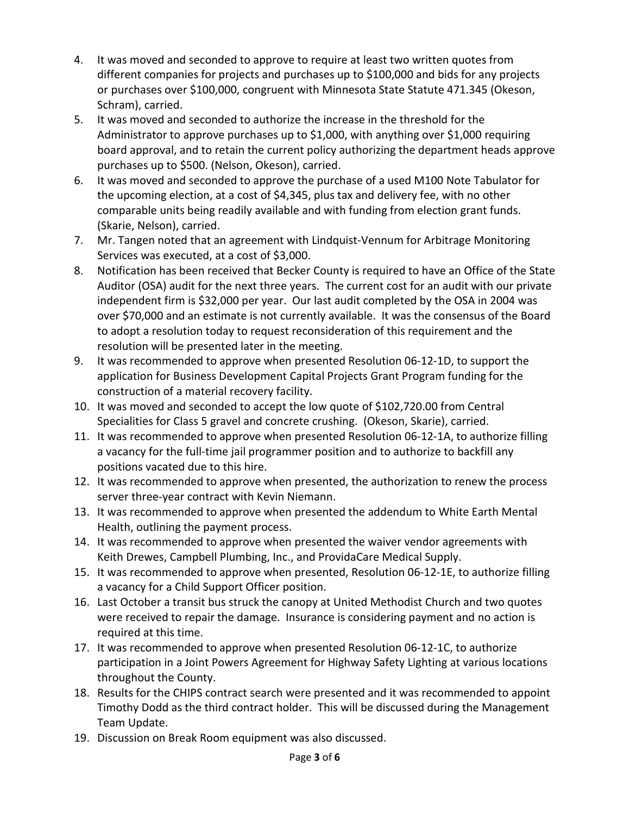- 4. It was moved and seconded to approve to require at least two written quotes from different companies for projects and purchases up to \$100,000 and bids for any projects or purchases over \$100,000, congruent with Minnesota State Statute 471.345 (Okeson, Schram), carried.
- 5. It was moved and seconded to authorize the increase in the threshold for the Administrator to approve purchases up to \$1,000, with anything over \$1,000 requiring board approval, and to retain the current policy authorizing the department heads approve purchases up to \$500. (Nelson, Okeson), carried.
- 6. It was moved and seconded to approve the purchase of a used M100 Note Tabulator for the upcoming election, at a cost of \$4,345, plus tax and delivery fee, with no other comparable units being readily available and with funding from election grant funds. (Skarie, Nelson), carried.
- 7. Mr. Tangen noted that an agreement with Lindquist-Vennum for Arbitrage Monitoring Services was executed, at a cost of \$3,000.
- 8. Notification has been received that Becker County is required to have an Office of the State Auditor (OSA) audit for the next three years. The current cost for an audit with our private independent firm is \$32,000 per year. Our last audit completed by the OSA in 2004 was over \$70,000 and an estimate is not currently available. It was the consensus of the Board to adopt a resolution today to request reconsideration of this requirement and the resolution will be presented later in the meeting.
- 9. It was recommended to approve when presented Resolution 06-12-1D, to support the application for Business Development Capital Projects Grant Program funding for the construction of a material recovery facility.
- 10. It was moved and seconded to accept the low quote of \$102,720.00 from Central Specialities for Class 5 gravel and concrete crushing. (Okeson, Skarie), carried.
- 11. It was recommended to approve when presented Resolution 06-12-1A, to authorize filling a vacancy for the full-time jail programmer position and to authorize to backfill any positions vacated due to this hire.
- 12. It was recommended to approve when presented, the authorization to renew the process server three-year contract with Kevin Niemann.
- 13. It was recommended to approve when presented the addendum to White Earth Mental Health, outlining the payment process.
- 14. It was recommended to approve when presented the waiver vendor agreements with Keith Drewes, Campbell Plumbing, Inc., and ProvidaCare Medical Supply.
- 15. It was recommended to approve when presented, Resolution 06-12-1E, to authorize filling a vacancy for a Child Support Officer position.
- 16. Last October a transit bus struck the canopy at United Methodist Church and two quotes were received to repair the damage. Insurance is considering payment and no action is required at this time.
- 17. It was recommended to approve when presented Resolution 06-12-1C, to authorize participation in a Joint Powers Agreement for Highway Safety Lighting at various locations throughout the County.
- 18. Results for the CHIPS contract search were presented and it was recommended to appoint Timothy Dodd as the third contract holder. This will be discussed during the Management Team Update.
- 19. Discussion on Break Room equipment was also discussed.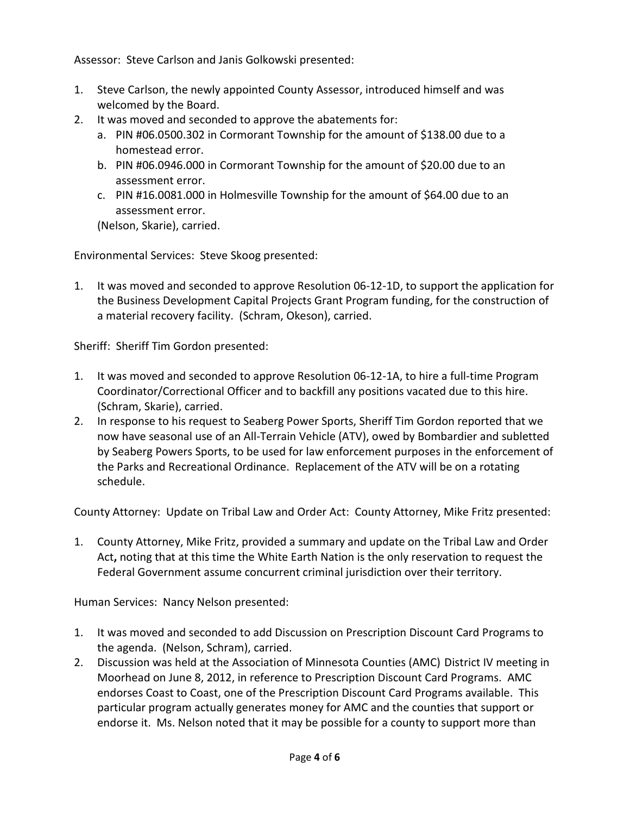Assessor: Steve Carlson and Janis Golkowski presented:

- 1. Steve Carlson, the newly appointed County Assessor, introduced himself and was welcomed by the Board.
- 2. It was moved and seconded to approve the abatements for:
	- a. PIN #06.0500.302 in Cormorant Township for the amount of \$138.00 due to a homestead error.
	- b. PIN #06.0946.000 in Cormorant Township for the amount of \$20.00 due to an assessment error.
	- c. PIN #16.0081.000 in Holmesville Township for the amount of \$64.00 due to an assessment error.

(Nelson, Skarie), carried.

Environmental Services: Steve Skoog presented:

1. It was moved and seconded to approve Resolution 06-12-1D, to support the application for the Business Development Capital Projects Grant Program funding, for the construction of a material recovery facility. (Schram, Okeson), carried.

Sheriff: Sheriff Tim Gordon presented:

- 1. It was moved and seconded to approve Resolution 06-12-1A, to hire a full-time Program Coordinator/Correctional Officer and to backfill any positions vacated due to this hire. (Schram, Skarie), carried.
- 2. In response to his request to Seaberg Power Sports, Sheriff Tim Gordon reported that we now have seasonal use of an All-Terrain Vehicle (ATV), owed by Bombardier and subletted by Seaberg Powers Sports, to be used for law enforcement purposes in the enforcement of the Parks and Recreational Ordinance. Replacement of the ATV will be on a rotating schedule.

County Attorney: Update on Tribal Law and Order Act: County Attorney, Mike Fritz presented:

1. County Attorney, Mike Fritz, provided a summary and update on the Tribal Law and Order Act**,** noting that at this time the White Earth Nation is the only reservation to request the Federal Government assume concurrent criminal jurisdiction over their territory.

Human Services: Nancy Nelson presented:

- 1. It was moved and seconded to add Discussion on Prescription Discount Card Programs to the agenda. (Nelson, Schram), carried.
- 2. Discussion was held at the Association of Minnesota Counties (AMC) District IV meeting in Moorhead on June 8, 2012, in reference to Prescription Discount Card Programs. AMC endorses Coast to Coast, one of the Prescription Discount Card Programs available. This particular program actually generates money for AMC and the counties that support or endorse it. Ms. Nelson noted that it may be possible for a county to support more than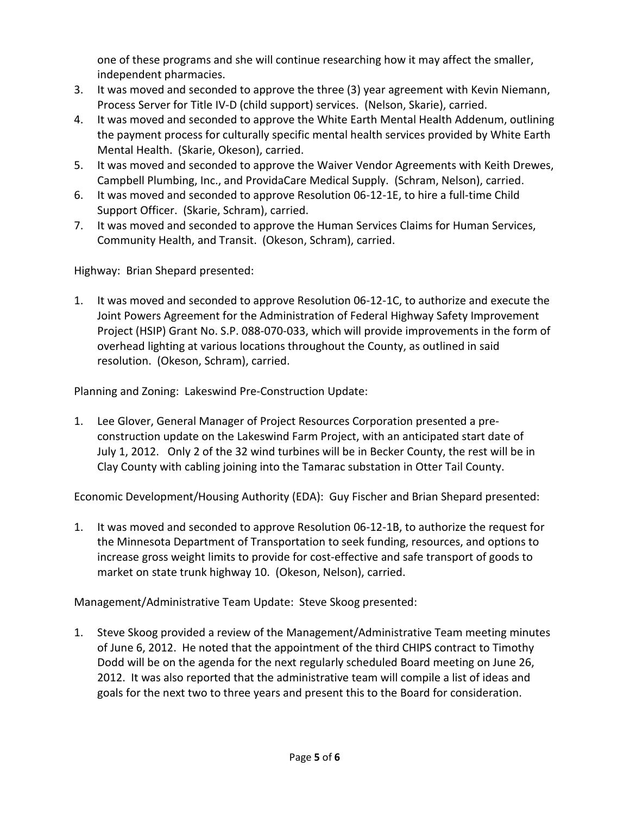one of these programs and she will continue researching how it may affect the smaller, independent pharmacies.

- 3. It was moved and seconded to approve the three (3) year agreement with Kevin Niemann, Process Server for Title IV-D (child support) services. (Nelson, Skarie), carried.
- 4. It was moved and seconded to approve the White Earth Mental Health Addenum, outlining the payment process for culturally specific mental health services provided by White Earth Mental Health. (Skarie, Okeson), carried.
- 5. It was moved and seconded to approve the Waiver Vendor Agreements with Keith Drewes, Campbell Plumbing, Inc., and ProvidaCare Medical Supply. (Schram, Nelson), carried.
- 6. It was moved and seconded to approve Resolution 06-12-1E, to hire a full-time Child Support Officer. (Skarie, Schram), carried.
- 7. It was moved and seconded to approve the Human Services Claims for Human Services, Community Health, and Transit. (Okeson, Schram), carried.

Highway: Brian Shepard presented:

1. It was moved and seconded to approve Resolution 06-12-1C, to authorize and execute the Joint Powers Agreement for the Administration of Federal Highway Safety Improvement Project (HSIP) Grant No. S.P. 088-070-033, which will provide improvements in the form of overhead lighting at various locations throughout the County, as outlined in said resolution. (Okeson, Schram), carried.

Planning and Zoning: Lakeswind Pre-Construction Update:

1. Lee Glover, General Manager of Project Resources Corporation presented a preconstruction update on the Lakeswind Farm Project, with an anticipated start date of July 1, 2012. Only 2 of the 32 wind turbines will be in Becker County, the rest will be in Clay County with cabling joining into the Tamarac substation in Otter Tail County.

Economic Development/Housing Authority (EDA): Guy Fischer and Brian Shepard presented:

1. It was moved and seconded to approve Resolution 06-12-1B, to authorize the request for the Minnesota Department of Transportation to seek funding, resources, and options to increase gross weight limits to provide for cost-effective and safe transport of goods to market on state trunk highway 10. (Okeson, Nelson), carried.

Management/Administrative Team Update: Steve Skoog presented:

1. Steve Skoog provided a review of the Management/Administrative Team meeting minutes of June 6, 2012. He noted that the appointment of the third CHIPS contract to Timothy Dodd will be on the agenda for the next regularly scheduled Board meeting on June 26, 2012. It was also reported that the administrative team will compile a list of ideas and goals for the next two to three years and present this to the Board for consideration.